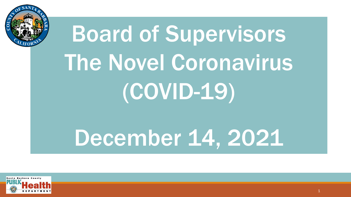

# Board of Supervisors The Novel Coronavirus (COVID-19)

## December 14, 2021

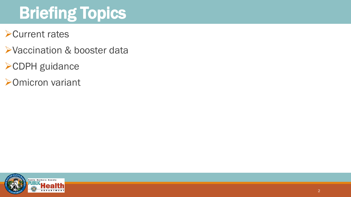## Briefing Topics

- ➢Current rates
- ➢Vaccination & booster data
- ➢CDPH guidance
- ➢Omicron variant

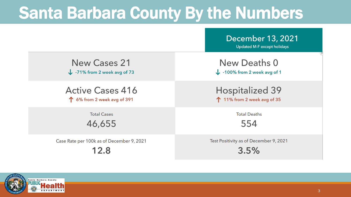#### Santa Barbara County By the Numbers

|                                           | December 13, 2021<br><b>Updated M-F except holidays</b> |  |
|-------------------------------------------|---------------------------------------------------------|--|
| <b>New Cases 21</b>                       | <b>New Deaths 0</b>                                     |  |
| $\downarrow$ -71% from 2 week avg of 73   | $\downarrow$ -100% from 2 week avg of 1                 |  |
| <b>Active Cases 416</b>                   | <b>Hospitalized 39</b>                                  |  |
| 1 6% from 2 week avg of 391               | 11% from 2 week avg of 35                               |  |
| <b>Total Cases</b>                        | <b>Total Deaths</b>                                     |  |
| 46,655                                    | 554                                                     |  |
| Case Rate per 100k as of December 9, 2021 | Test Positivity as of December 9, 2021<br>3.5%          |  |

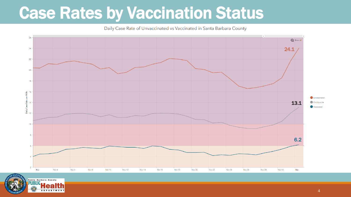#### Case Rates by Vaccination Status

Daily Case Rate of Unvaccinated vs Vaccinated in Santa Barbara County



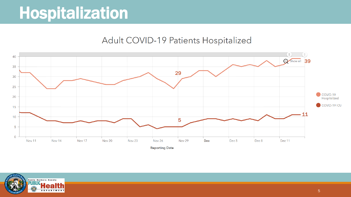#### **Hospitalization**

#### Adult COVID-19 Patients Hospitalized



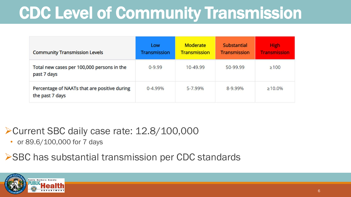### CDC Level of Community Transmission

| <b>Community Transmission Levels</b>                            | Low<br><b>Transmission</b> | <b>Moderate</b><br><b>Transmission</b> | <b>Substantial</b><br><b>Transmission</b> | High<br><b>Transmission</b> |
|-----------------------------------------------------------------|----------------------------|----------------------------------------|-------------------------------------------|-----------------------------|
| Total new cases per 100,000 persons in the<br>past 7 days       | $0 - 9.99$                 | 10-49.99                               | 50-99.99                                  | $\geq 100$                  |
| Percentage of NAATs that are positive during<br>the past 7 days | $0 - 4.99%$                | 5-7.99%                                | 8-9.99%                                   | $\geq 10.0\%$               |

➢Current SBC daily case rate: 12.8/100,000

• or 89.6/100,000 for 7 days

➢SBC has substantial transmission per CDC standards

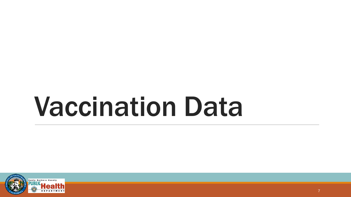## Vaccination Data

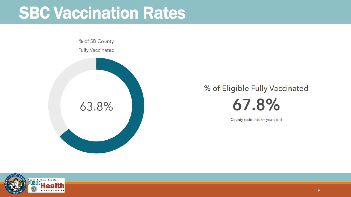#### SBC Vaccination Rates

% of SB County **Fully Vaccinated** 63.8%

#### % of Eligible Fully Vaccinated 67.8%

County residents 5+ years old

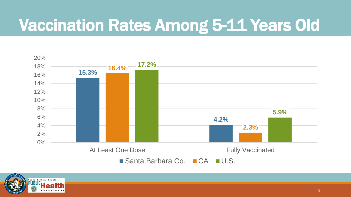### Vaccination Rates Among 5-11 Years Old



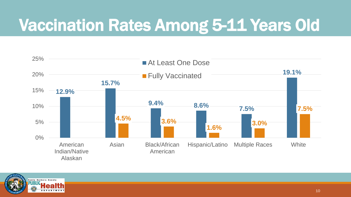### Vaccination Rates Among 5-11 Years Old



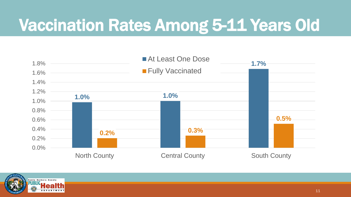### Vaccination Rates Among 5-11 Years Old



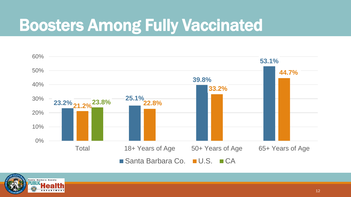### Boosters Among Fully Vaccinated



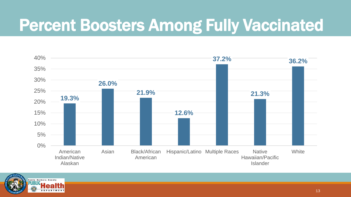#### Percent Boosters Among Fully Vaccinated



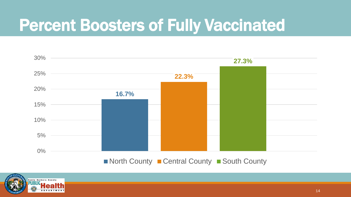#### Percent Boosters of Fully Vaccinated



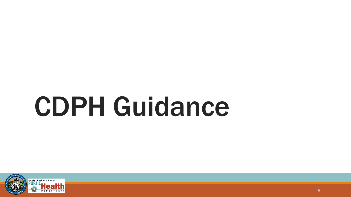## CDPH Guidance

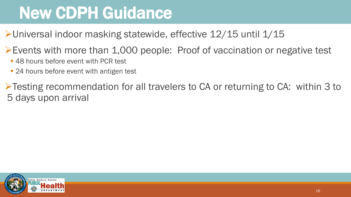### New CDPH Guidance

➢Universal indoor masking statewide, effective 12/15 until 1/15

➢Events with more than 1,000 people: Proof of vaccination or negative test

- 48 hours before event with PCR test
- 24 hours before event with antigen test

➢Testing recommendation for all travelers to CA or returning to CA: within 3 to 5 days upon arrival

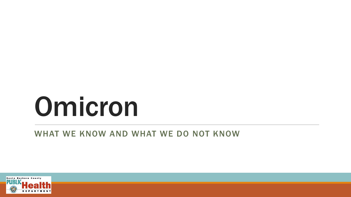## Omicron

#### WHAT WE KNOW AND WHAT WE DO NOT KNOW

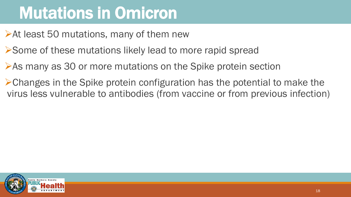### Mutations in Omicron

➢At least 50 mutations, many of them new

- ➢Some of these mutations likely lead to more rapid spread
- ➢As many as 30 or more mutations on the Spike protein section
- ➢Changes in the Spike protein configuration has the potential to make the virus less vulnerable to antibodies (from vaccine or from previous infection)

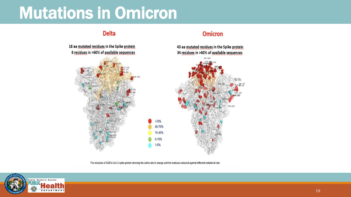#### Mutations in Omicron

#### **Delta**

18 aa mutated residues in the Spike protein 8 residues in >60% of available sequences



**Omicron** 

43 aa mutated residues in the Spike protein

The structure of SARS-CoV-2 spike protein showing the active site in orange and the residues coloured against different mutational rate.



#### 19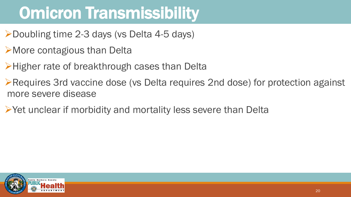### Omicron Transmissibility

- ➢Doubling time 2-3 days (vs Delta 4-5 days)
- ➢More contagious than Delta
- ➢Higher rate of breakthrough cases than Delta
- ➢Requires 3rd vaccine dose (vs Delta requires 2nd dose) for protection against more severe disease
- ➢Yet unclear if morbidity and mortality less severe than Delta

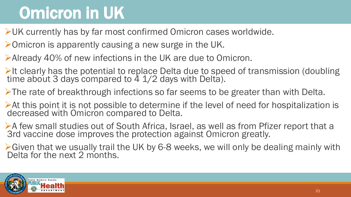### Omicron in UK

➢UK currently has by far most confirmed Omicron cases worldwide.

- ➢Omicron is apparently causing a new surge in the UK.
- ➢Already 40% of new infections in the UK are due to Omicron.
- ➢It clearly has the potential to replace Delta due to speed of transmission (doubling time about 3 days compared to 4 1/2 days with Delta).
- ➢The rate of breakthrough infections so far seems to be greater than with Delta.
- ➢At this point it is not possible to determine if the level of need for hospitalization is decreased with Omicron compared to Delta.
- ➢A few small studies out of South Africa, Israel, as well as from Pfizer report that a 3rd vaccine dose improves the protection against Omicron greatly.
- ➢Given that we usually trail the UK by 6-8 weeks, we will only be dealing mainly with Delta for the next 2 months.

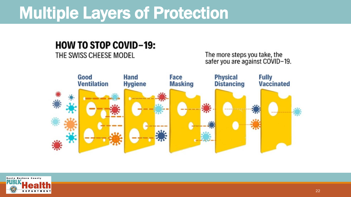#### Multiple Layers of Protection

#### **HOW TO STOP COVID-19:**

#### THE SWISS CHEESE MODEL

The more steps you take, the<br>safer you are against COVID-19.